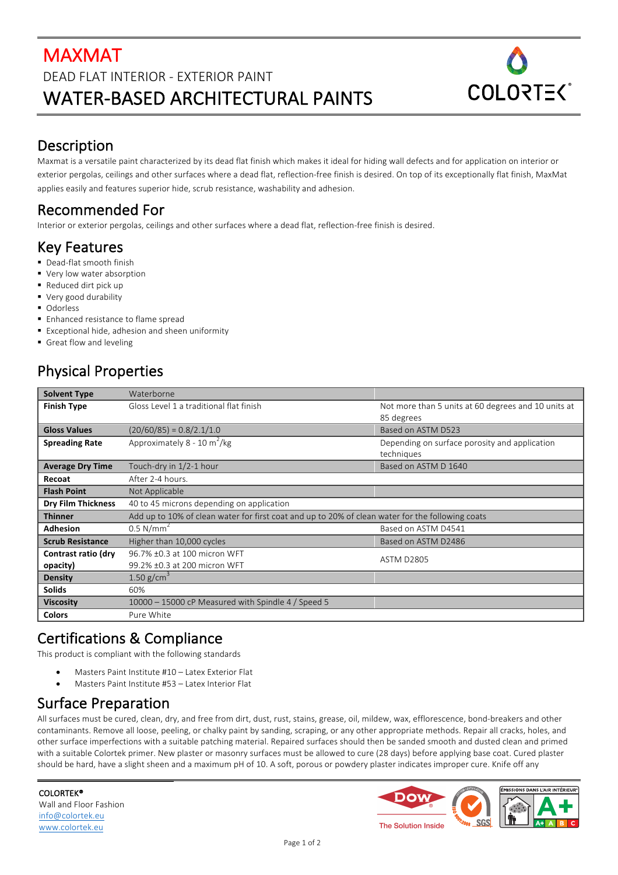# MAXMAT DEAD FLAT INTERIOR - EXTERIOR PAINT WATER-BASED ARCHITECTURAL PAINTS



### Description

Maxmat is a versatile paint characterized by its dead flat finish which makes it ideal for hiding wall defects and for application on interior or exterior pergolas, ceilings and other surfaces where a dead flat, reflection-free finish is desired. On top of its exceptionally flat finish, MaxMat applies easily and features superior hide, scrub resistance, washability and adhesion.

# Recommended For

Interior or exterior pergolas, ceilings and other surfaces where a dead flat, reflection-free finish is desired.

## Key Features

- Dead-flat smooth finish
- Very low water absorption
- Reduced dirt pick up
- Very good durability
- Odorless
- Enhanced resistance to flame spread
- Exceptional hide, adhesion and sheen uniformity
- Great flow and leveling

# **Physical Properties**

| <b>Solvent Type</b>       | Waterborne                                                                                       |                                                                   |
|---------------------------|--------------------------------------------------------------------------------------------------|-------------------------------------------------------------------|
| <b>Finish Type</b>        | Gloss Level 1 a traditional flat finish                                                          | Not more than 5 units at 60 degrees and 10 units at<br>85 degrees |
| <b>Gloss Values</b>       | $(20/60/85) = 0.8/2.1/1.0$                                                                       | Based on ASTM D523                                                |
| <b>Spreading Rate</b>     | Approximately 8 - 10 m <sup>2</sup> /kg                                                          | Depending on surface porosity and application<br>techniques       |
| <b>Average Dry Time</b>   | Touch-dry in 1/2-1 hour                                                                          | Based on ASTM D 1640                                              |
| Recoat                    | After 2-4 hours.                                                                                 |                                                                   |
| <b>Flash Point</b>        | Not Applicable                                                                                   |                                                                   |
| <b>Dry Film Thickness</b> | 40 to 45 microns depending on application                                                        |                                                                   |
| <b>Thinner</b>            | Add up to 10% of clean water for first coat and up to 20% of clean water for the following coats |                                                                   |
| <b>Adhesion</b>           | $0.5$ N/mm <sup>2</sup>                                                                          | Based on ASTM D4541                                               |
| <b>Scrub Resistance</b>   | Higher than 10,000 cycles                                                                        | Based on ASTM D2486                                               |
| Contrast ratio (dry       | 96.7% ±0.3 at 100 micron WFT                                                                     | <b>ASTM D2805</b>                                                 |
| opacity)                  | 99.2% ±0.3 at 200 micron WFT                                                                     |                                                                   |
| Density                   | 1.50 $g/cm^3$                                                                                    |                                                                   |
| <b>Solids</b>             | 60%                                                                                              |                                                                   |
| <b>Viscosity</b>          | 10000 - 15000 cP Measured with Spindle 4 / Speed 5                                               |                                                                   |
| <b>Colors</b>             | Pure White                                                                                       |                                                                   |

## Certifications & Compliance

This product is compliant with the following standards

- Masters Paint Institute #10 Latex Exterior Flat
- Masters Paint Institute #53 Latex Interior Flat

## Surface Preparation

All surfaces must be cured, clean, dry, and free from dirt, dust, rust, stains, grease, oil, mildew, wax, efflorescence, bond-breakers and other contaminants. Remove all loose, peeling, or chalky paint by sanding, scraping, or any other appropriate methods. Repair all cracks, holes, and other surface imperfections with a suitable patching material. Repaired surfaces should then be sanded smooth and dusted clean and primed with a suitable Colortek primer. New plaster or masonry surfaces must be allowed to cure (28 days) before applying base coat. Cured plaster should be hard, have a slight sheen and a maximum pH of 10. A soft, porous or powdery plaster indicates improper cure. Knife off any

COLORTEK® Wall and Floor Fashion info@colortek.eu www.colortek.eu